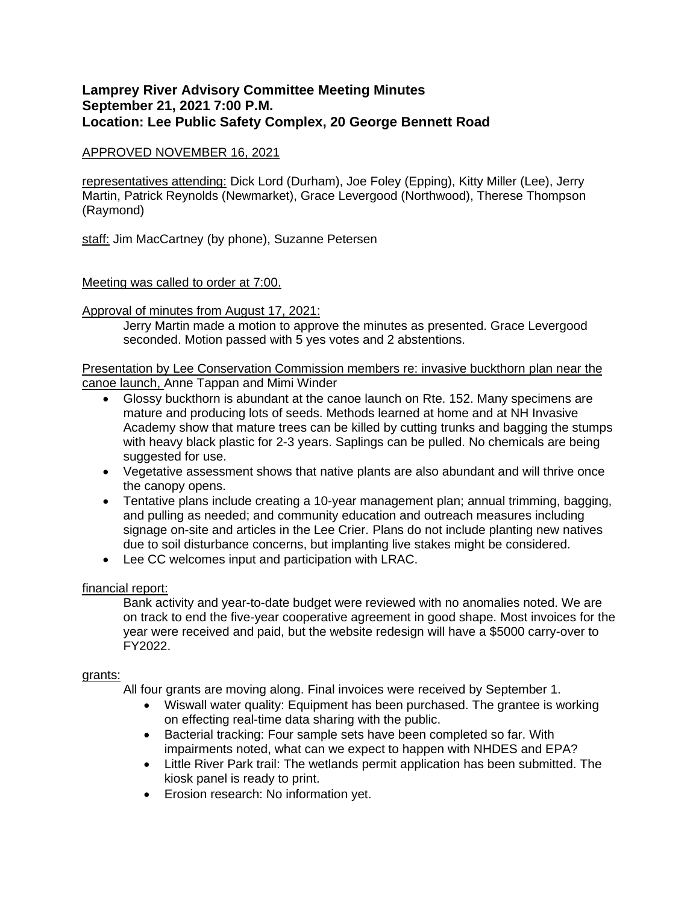# **Lamprey River Advisory Committee Meeting Minutes September 21, 2021 7:00 P.M. Location: Lee Public Safety Complex, 20 George Bennett Road**

#### APPROVED NOVEMBER 16, 2021

representatives attending: Dick Lord (Durham), Joe Foley (Epping), Kitty Miller (Lee), Jerry Martin, Patrick Reynolds (Newmarket), Grace Levergood (Northwood), Therese Thompson (Raymond)

staff: Jim MacCartney (by phone), Suzanne Petersen

#### Meeting was called to order at 7:00.

Approval of minutes from August 17, 2021:

Jerry Martin made a motion to approve the minutes as presented. Grace Levergood seconded. Motion passed with 5 yes votes and 2 abstentions.

#### Presentation by Lee Conservation Commission members re: invasive buckthorn plan near the canoe launch, Anne Tappan and Mimi Winder

- Glossy buckthorn is abundant at the canoe launch on Rte. 152. Many specimens are mature and producing lots of seeds. Methods learned at home and at NH Invasive Academy show that mature trees can be killed by cutting trunks and bagging the stumps with heavy black plastic for 2-3 years. Saplings can be pulled. No chemicals are being suggested for use.
- Vegetative assessment shows that native plants are also abundant and will thrive once the canopy opens.
- Tentative plans include creating a 10-year management plan; annual trimming, bagging, and pulling as needed; and community education and outreach measures including signage on-site and articles in the Lee Crier. Plans do not include planting new natives due to soil disturbance concerns, but implanting live stakes might be considered.
- Lee CC welcomes input and participation with LRAC.

## financial report:

Bank activity and year-to-date budget were reviewed with no anomalies noted. We are on track to end the five-year cooperative agreement in good shape. Most invoices for the year were received and paid, but the website redesign will have a \$5000 carry-over to FY2022.

#### grants:

All four grants are moving along. Final invoices were received by September 1.

- Wiswall water quality: Equipment has been purchased. The grantee is working on effecting real-time data sharing with the public.
- Bacterial tracking: Four sample sets have been completed so far. With impairments noted, what can we expect to happen with NHDES and EPA?
- Little River Park trail: The wetlands permit application has been submitted. The kiosk panel is ready to print.
- Erosion research: No information yet.